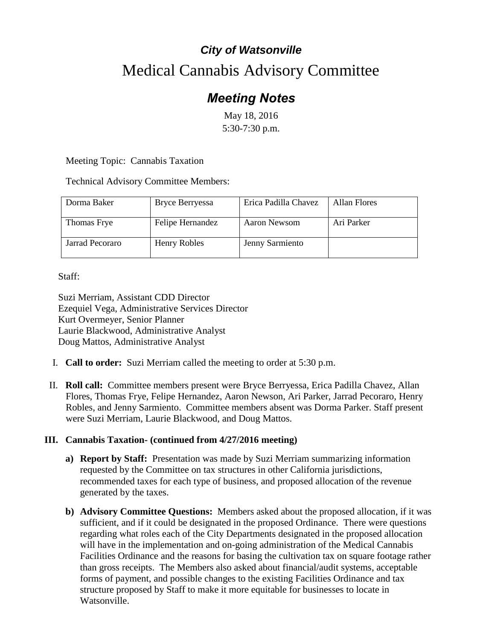## *City of Watsonville* Medical Cannabis Advisory Committee

## *Meeting Notes*

May 18, 2016 5:30-7:30 p.m.

Meeting Topic: Cannabis Taxation

Technical Advisory Committee Members:

| Dorma Baker     | Bryce Berryessa  | Erica Padilla Chavez | Allan Flores |
|-----------------|------------------|----------------------|--------------|
| Thomas Frye     | Felipe Hernandez | Aaron Newsom         | Ari Parker   |
| Jarrad Pecoraro | Henry Robles     | Jenny Sarmiento      |              |

## Staff:

Suzi Merriam, Assistant CDD Director Ezequiel Vega, Administrative Services Director Kurt Overmeyer, Senior Planner Laurie Blackwood, Administrative Analyst Doug Mattos, Administrative Analyst

- I. **Call to order:** Suzi Merriam called the meeting to order at 5:30 p.m.
- II. **Roll call:** Committee members present were Bryce Berryessa, Erica Padilla Chavez, Allan Flores, Thomas Frye, Felipe Hernandez, Aaron Newson, Ari Parker, Jarrad Pecoraro, Henry Robles, and Jenny Sarmiento. Committee members absent was Dorma Parker. Staff present were Suzi Merriam, Laurie Blackwood, and Doug Mattos.

## **III. Cannabis Taxation- (continued from 4/27/2016 meeting)**

- **a) Report by Staff:** Presentation was made by Suzi Merriam summarizing information requested by the Committee on tax structures in other California jurisdictions, recommended taxes for each type of business, and proposed allocation of the revenue generated by the taxes.
- **b) Advisory Committee Questions:** Members asked about the proposed allocation, if it was sufficient, and if it could be designated in the proposed Ordinance. There were questions regarding what roles each of the City Departments designated in the proposed allocation will have in the implementation and on-going administration of the Medical Cannabis Facilities Ordinance and the reasons for basing the cultivation tax on square footage rather than gross receipts. The Members also asked about financial/audit systems, acceptable forms of payment, and possible changes to the existing Facilities Ordinance and tax structure proposed by Staff to make it more equitable for businesses to locate in Watsonville.